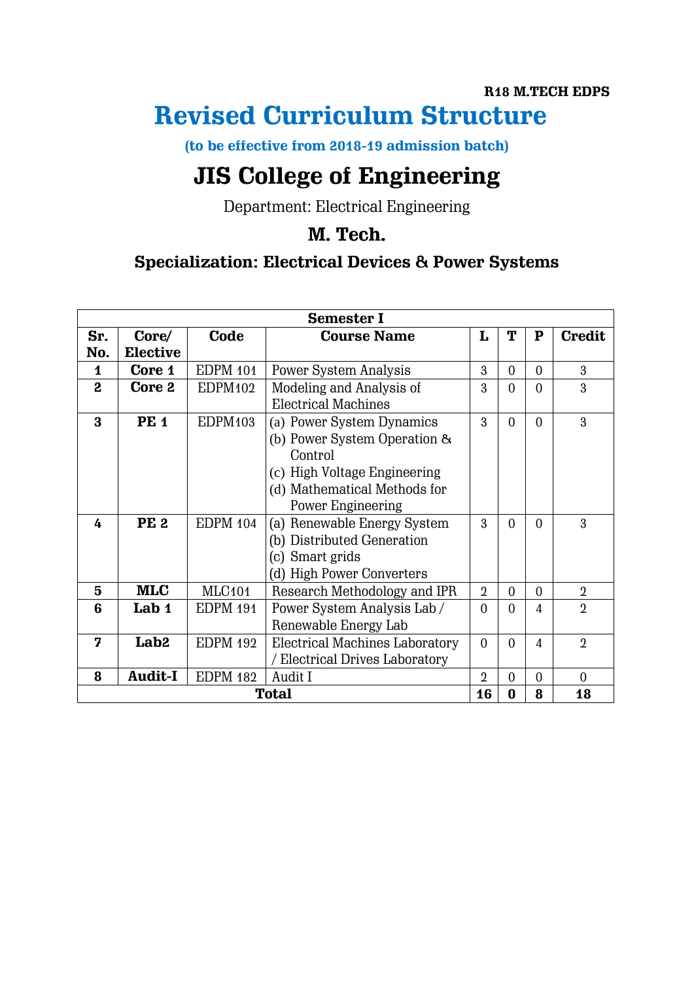## **R18 M.TECH EDPS Revised Curriculum Structure**

**(to be effective from 2018-19 admission batch)** 

# **JIS College of Engineering**

Department: Electrical Engineering

## **M. Tech.**

## **Specialization: Electrical Devices & Power Systems**

| <b>Semester I</b>                         |                  |                     |                                |                |                |                |                |
|-------------------------------------------|------------------|---------------------|--------------------------------|----------------|----------------|----------------|----------------|
| Sr.                                       | Core/            | Code                | <b>Course Name</b>             | L              | Т              | ${\bf P}$      | <b>Credit</b>  |
| No.                                       | <b>Elective</b>  |                     |                                |                |                |                |                |
| $\mathbf 1$                               | Core 1           | <b>EDPM 101</b>     | Power System Analysis          | 3              | $\overline{0}$ | $\overline{0}$ | 3              |
| $\overline{2}$                            | Core 2           | EDPM <sub>102</sub> | Modeling and Analysis of       | 3              | $\overline{0}$ | $\overline{0}$ | 3              |
|                                           |                  |                     | <b>Electrical Machines</b>     |                |                |                |                |
| 3                                         | <b>PE 1</b>      | EDPM <sub>103</sub> | (a) Power System Dynamics      | 3              | $\overline{0}$ | $\overline{0}$ | 3              |
|                                           |                  |                     | (b) Power System Operation &   |                |                |                |                |
|                                           |                  |                     | Control                        |                |                |                |                |
|                                           |                  |                     | (c) High Voltage Engineering   |                |                |                |                |
|                                           |                  |                     | (d) Mathematical Methods for   |                |                |                |                |
|                                           |                  |                     | Power Engineering              |                |                |                |                |
| 4                                         | <b>PE 2</b>      | EDPM 104            | (a) Renewable Energy System    | 3              | $\overline{0}$ | $\Omega$       | 3              |
|                                           |                  |                     | (b) Distributed Generation     |                |                |                |                |
|                                           |                  |                     | (c) Smart grids                |                |                |                |                |
|                                           |                  |                     | (d) High Power Converters      |                |                |                |                |
| 5                                         | <b>MLC</b>       | MLC <sub>101</sub>  | Research Methodology and IPR   | $\overline{2}$ | $\Omega$       | $\Omega$       | $\overline{2}$ |
| 6                                         | Lab 1            | <b>EDPM 191</b>     | Power System Analysis Lab/     | $\overline{0}$ | $\overline{0}$ | 4              | $\overline{2}$ |
|                                           |                  |                     | Renewable Energy Lab           |                |                |                |                |
| 7                                         | Lab <sub>2</sub> | <b>EDPM 192</b>     | Electrical Machines Laboratory | $\overline{0}$ | $\overline{0}$ | 4              | $\overline{2}$ |
|                                           |                  |                     | / Electrical Drives Laboratory |                |                |                |                |
| 8                                         | <b>Audit-I</b>   | <b>EDPM 182</b>     | Audit I                        | $\overline{2}$ | $\overline{0}$ | $\overline{0}$ | $\overline{0}$ |
| 8<br><b>Total</b><br>16<br>$\bf{0}$<br>18 |                  |                     |                                |                |                |                |                |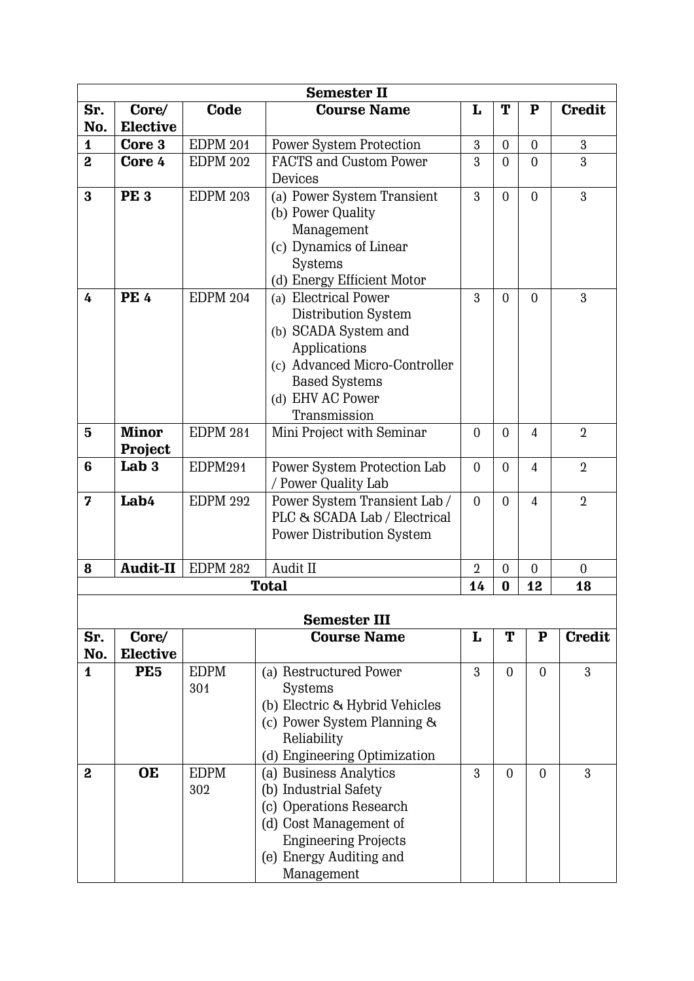| <b>Semester II</b>      |                 |                 |                                           |                |                |                |                |
|-------------------------|-----------------|-----------------|-------------------------------------------|----------------|----------------|----------------|----------------|
| Sr.                     | Core/           | Code            | <b>Course Name</b>                        | L              | T              | ${\bf P}$      | <b>Credit</b>  |
| No.                     | <b>Elective</b> |                 |                                           |                |                |                |                |
| 1                       | Core 3          | <b>EDPM 201</b> | Power System Protection                   | 3              | $\overline{0}$ | $\overline{0}$ | 3              |
| 2                       | Core 4          | <b>EDPM 202</b> | <b>FACTS and Custom Power</b>             | 3              | $\overline{0}$ | $\overline{0}$ | 3              |
|                         |                 |                 | Devices                                   |                |                |                |                |
| 3                       | <b>PE3</b>      | <b>EDPM 203</b> | (a) Power System Transient                | 3              | $\overline{0}$ | $\overline{0}$ | 3              |
|                         |                 |                 | (b) Power Quality                         |                |                |                |                |
|                         |                 |                 | Management                                |                |                |                |                |
|                         |                 |                 | (c) Dynamics of Linear                    |                |                |                |                |
|                         |                 |                 | Systems                                   |                |                |                |                |
|                         |                 |                 | (d) Energy Efficient Motor                |                |                |                |                |
| 4                       | <b>PE4</b>      | <b>EDPM 204</b> | (a) Electrical Power                      | 3              | $\overline{0}$ | $\mathbf{0}$   | 3              |
|                         |                 |                 | Distribution System                       |                |                |                |                |
|                         |                 |                 | (b) SCADA System and<br>Applications      |                |                |                |                |
|                         |                 |                 | (c) Advanced Micro-Controller             |                |                |                |                |
|                         |                 |                 | <b>Based Systems</b>                      |                |                |                |                |
|                         |                 |                 | (d) EHV AC Power                          |                |                |                |                |
|                         |                 |                 | Transmission                              |                |                |                |                |
| $\overline{\mathbf{5}}$ | <b>Minor</b>    | <b>EDPM 281</b> | Mini Project with Seminar                 | $\overline{0}$ | $\overline{0}$ | $\overline{4}$ | $\overline{2}$ |
|                         | <b>Project</b>  |                 |                                           |                |                |                |                |
| $6\phantom{1}6$         | Lab $3$         | EDPM291         | Power System Protection Lab               | $\overline{0}$ | $\overline{0}$ | $\overline{4}$ | $\overline{2}$ |
|                         |                 |                 | / Power Quality Lab                       |                |                |                |                |
| 7                       | Lab4            | <b>EDPM 292</b> | Power System Transient Lab /              | $\overline{0}$ | $\overline{0}$ | 4              | $\overline{2}$ |
|                         |                 |                 | PLC & SCADA Lab / Electrical              |                |                |                |                |
|                         |                 |                 | <b>Power Distribution System</b>          |                |                |                |                |
|                         |                 |                 |                                           |                |                |                |                |
| 8                       | <b>Audit-II</b> | <b>EDPM 282</b> | Audit II                                  | $\overline{2}$ | 0              | 0              | 0              |
|                         |                 |                 | <b>Total</b>                              | 14             | 0              | 12             | 18             |
|                         |                 |                 |                                           |                |                |                |                |
| Sr.                     | Core/           |                 | <b>Semester III</b><br><b>Course Name</b> | L              | Т              | ${\bf P}$      | <b>Credit</b>  |
| No.                     | <b>Elective</b> |                 |                                           |                |                |                |                |
| $\mathbf 1$             | PE <sub>5</sub> | <b>EDPM</b>     | (a) Restructured Power                    | 3              | $\overline{0}$ | $\overline{0}$ | 3              |
|                         |                 | 301             | Systems                                   |                |                |                |                |
|                         |                 |                 | (b) Electric & Hybrid Vehicles            |                |                |                |                |
|                         |                 |                 | (c) Power System Planning &               |                |                |                |                |
|                         |                 |                 | Reliability                               |                |                |                |                |
|                         |                 |                 | (d) Engineering Optimization              |                |                |                |                |
| 2                       | <b>OE</b>       | <b>EDPM</b>     | (a) Business Analytics                    | 3              | $\overline{0}$ | $\overline{0}$ | 3              |
|                         |                 | 302             | (b) Industrial Safety                     |                |                |                |                |
|                         |                 |                 | (c) Operations Research                   |                |                |                |                |
|                         |                 |                 | (d) Cost Management of                    |                |                |                |                |
|                         |                 |                 | <b>Engineering Projects</b>               |                |                |                |                |
|                         |                 |                 | (e) Energy Auditing and                   |                |                |                |                |
|                         |                 |                 | Management                                |                |                |                |                |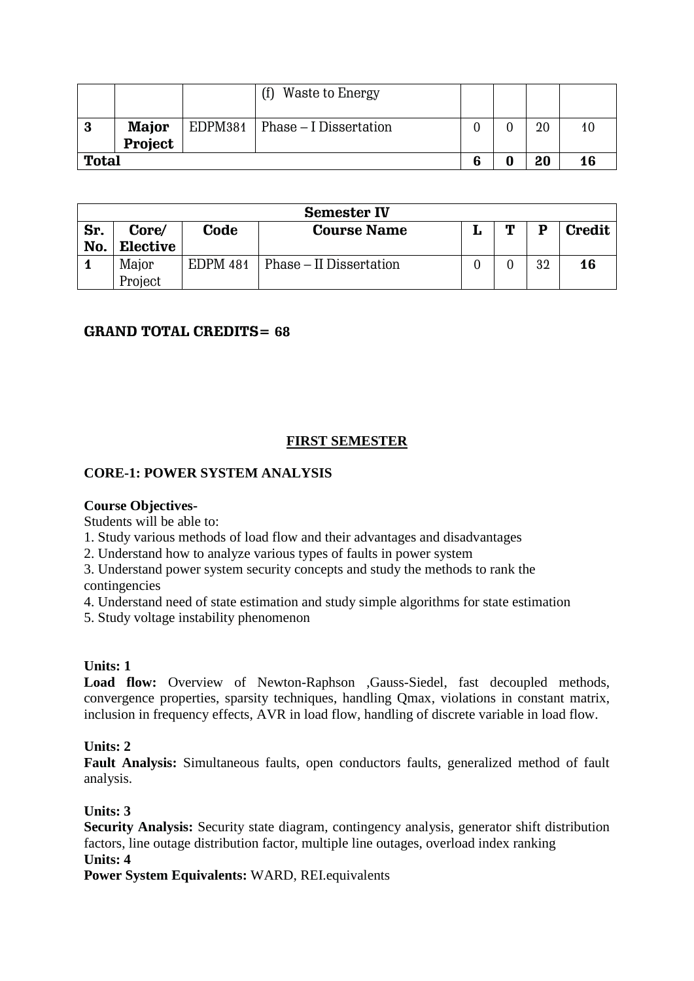|                         |                                |         | Waste to Energy        |  |    |    |
|-------------------------|--------------------------------|---------|------------------------|--|----|----|
| 3                       | <b>Major</b><br><b>Project</b> | EDPM381 | Phase – I Dissertation |  | 20 | 10 |
| <b>Total</b><br>20<br>6 |                                |         |                        |  | 16 |    |

| <b>Semester IV</b> |                 |          |                         |   |   |    |               |
|--------------------|-----------------|----------|-------------------------|---|---|----|---------------|
| Sr.                | Core/           | Code     | <b>Course Name</b>      | ┻ | m | D  | <b>Credit</b> |
| No.                | <b>Elective</b> |          |                         |   |   |    |               |
|                    | Major           | EDPM 481 | Phase – II Dissertation |   |   | 32 | 16            |
|                    | Project         |          |                         |   |   |    |               |

## **GRAND TOTAL CREDITS= 68**

## **FIRST SEMESTER**

#### **CORE-1: POWER SYSTEM ANALYSIS**

#### **Course Objectives-**

Students will be able to:

1. Study various methods of load flow and their advantages and disadvantages

2. Understand how to analyze various types of faults in power system

3. Understand power system security concepts and study the methods to rank the contingencies

4. Understand need of state estimation and study simple algorithms for state estimation

5. Study voltage instability phenomenon

#### **Units: 1**

**Load flow:** Overview of Newton-Raphson ,Gauss-Siedel, fast decoupled methods, convergence properties, sparsity techniques, handling Qmax, violations in constant matrix, inclusion in frequency effects, AVR in load flow, handling of discrete variable in load flow.

#### **Units: 2**

**Fault Analysis:** Simultaneous faults, open conductors faults, generalized method of fault analysis.

#### **Units: 3**

**Security Analysis:** Security state diagram, contingency analysis, generator shift distribution factors, line outage distribution factor, multiple line outages, overload index ranking **Units: 4**

**Power System Equivalents:** WARD, REI.equivalents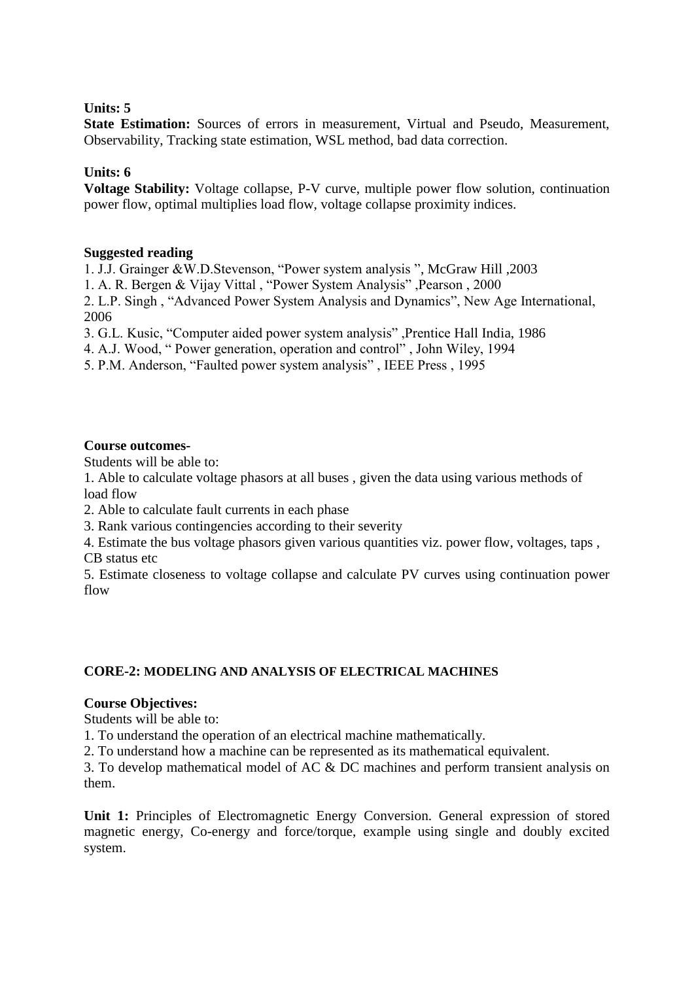#### **Units: 5**

**State Estimation:** Sources of errors in measurement, Virtual and Pseudo, Measurement, Observability, Tracking state estimation, WSL method, bad data correction.

## **Units: 6**

**Voltage Stability:** Voltage collapse, P-V curve, multiple power flow solution, continuation power flow, optimal multiplies load flow, voltage collapse proximity indices.

#### **Suggested reading**

1. J.J. Grainger &W.D.Stevenson, "Power system analysis ", McGraw Hill ,2003

1. A. R. Bergen & Vijay Vittal , "Power System Analysis" ,Pearson , 2000

2. L.P. Singh , "Advanced Power System Analysis and Dynamics", New Age International, 2006

3. G.L. Kusic, "Computer aided power system analysis" ,Prentice Hall India, 1986

4. A.J. Wood, " Power generation, operation and control" , John Wiley, 1994

5. P.M. Anderson, "Faulted power system analysis" , IEEE Press , 1995

#### **Course outcomes-**

Students will be able to:

1. Able to calculate voltage phasors at all buses , given the data using various methods of load flow

2. Able to calculate fault currents in each phase

3. Rank various contingencies according to their severity

4. Estimate the bus voltage phasors given various quantities viz. power flow, voltages, taps , CB status etc

5. Estimate closeness to voltage collapse and calculate PV curves using continuation power flow

## **CORE-2: MODELING AND ANALYSIS OF ELECTRICAL MACHINES**

#### **Course Objectives:**

Students will be able to:

1. To understand the operation of an electrical machine mathematically.

2. To understand how a machine can be represented as its mathematical equivalent.

3. To develop mathematical model of AC & DC machines and perform transient analysis on them.

**Unit 1:** Principles of Electromagnetic Energy Conversion. General expression of stored magnetic energy, Co-energy and force/torque, example using single and doubly excited system.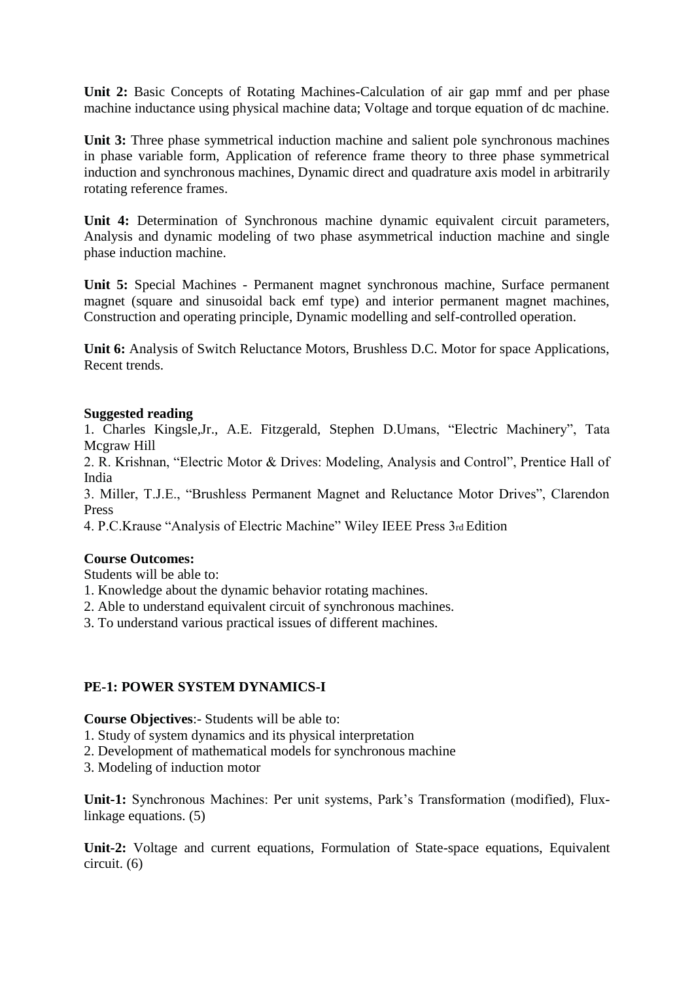**Unit 2:** Basic Concepts of Rotating Machines-Calculation of air gap mmf and per phase machine inductance using physical machine data; Voltage and torque equation of dc machine.

**Unit 3:** Three phase symmetrical induction machine and salient pole synchronous machines in phase variable form, Application of reference frame theory to three phase symmetrical induction and synchronous machines, Dynamic direct and quadrature axis model in arbitrarily rotating reference frames.

**Unit 4:** Determination of Synchronous machine dynamic equivalent circuit parameters, Analysis and dynamic modeling of two phase asymmetrical induction machine and single phase induction machine.

**Unit 5:** Special Machines - Permanent magnet synchronous machine, Surface permanent magnet (square and sinusoidal back emf type) and interior permanent magnet machines, Construction and operating principle, Dynamic modelling and self-controlled operation.

**Unit 6:** Analysis of Switch Reluctance Motors, Brushless D.C. Motor for space Applications, Recent trends.

#### **Suggested reading**

1. Charles Kingsle,Jr., A.E. Fitzgerald, Stephen D.Umans, "Electric Machinery", Tata Mcgraw Hill

2. R. Krishnan, "Electric Motor & Drives: Modeling, Analysis and Control", Prentice Hall of India

3. Miller, T.J.E., "Brushless Permanent Magnet and Reluctance Motor Drives", Clarendon Press

4. P.C.Krause "Analysis of Electric Machine" Wiley IEEE Press 3rd Edition

#### **Course Outcomes:**

Students will be able to:

- 1. Knowledge about the dynamic behavior rotating machines.
- 2. Able to understand equivalent circuit of synchronous machines.
- 3. To understand various practical issues of different machines.

## **PE-1: POWER SYSTEM DYNAMICS-I**

#### **Course Objectives**:- Students will be able to:

- 1. Study of system dynamics and its physical interpretation
- 2. Development of mathematical models for synchronous machine
- 3. Modeling of induction motor

**Unit-1:** Synchronous Machines: Per unit systems, Park's Transformation (modified), Fluxlinkage equations. (5)

**Unit-2:** Voltage and current equations, Formulation of State-space equations, Equivalent circuit. (6)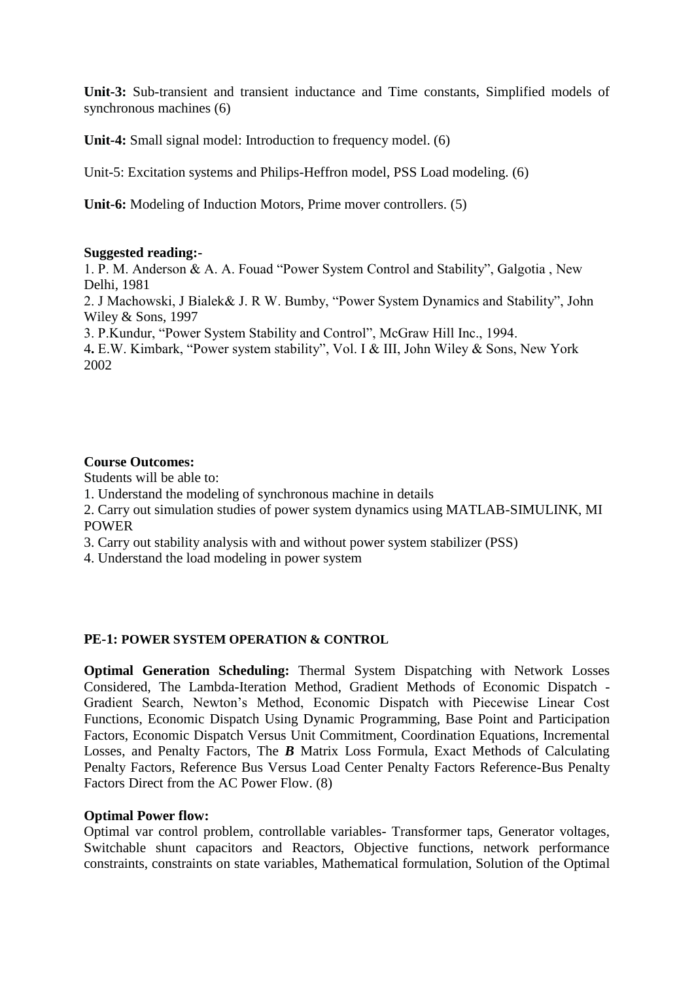**Unit-3:** Sub-transient and transient inductance and Time constants, Simplified models of synchronous machines (6)

**Unit-4:** Small signal model: Introduction to frequency model. (6)

Unit-5: Excitation systems and Philips-Heffron model, PSS Load modeling. (6)

**Unit-6:** Modeling of Induction Motors, Prime mover controllers. (5)

#### **Suggested reading:-**

1. P. M. Anderson & A. A. Fouad "Power System Control and Stability", Galgotia , New Delhi, 1981

2. J Machowski, J Bialek& J. R W. Bumby, "Power System Dynamics and Stability", John Wiley & Sons, 1997

3. P.Kundur, "Power System Stability and Control", McGraw Hill Inc., 1994.

4**.** E.W. Kimbark, "Power system stability", Vol. I & III, John Wiley & Sons, New York 2002

#### **Course Outcomes:**

Students will be able to:

1. Understand the modeling of synchronous machine in details

2. Carry out simulation studies of power system dynamics using MATLAB-SIMULINK, MI POWER

3. Carry out stability analysis with and without power system stabilizer (PSS)

4. Understand the load modeling in power system

#### **PE-1: POWER SYSTEM OPERATION & CONTROL**

**Optimal Generation Scheduling:** Thermal System Dispatching with Network Losses Considered, The Lambda-Iteration Method, Gradient Methods of Economic Dispatch - Gradient Search, Newton's Method, Economic Dispatch with Piecewise Linear Cost Functions, Economic Dispatch Using Dynamic Programming, Base Point and Participation Factors, Economic Dispatch Versus Unit Commitment, Coordination Equations, Incremental Losses, and Penalty Factors, The *B* Matrix Loss Formula, Exact Methods of Calculating Penalty Factors, Reference Bus Versus Load Center Penalty Factors Reference-Bus Penalty Factors Direct from the AC Power Flow. (8)

#### **Optimal Power flow:**

Optimal var control problem, controllable variables- Transformer taps, Generator voltages, Switchable shunt capacitors and Reactors, Objective functions, network performance constraints, constraints on state variables, Mathematical formulation, Solution of the Optimal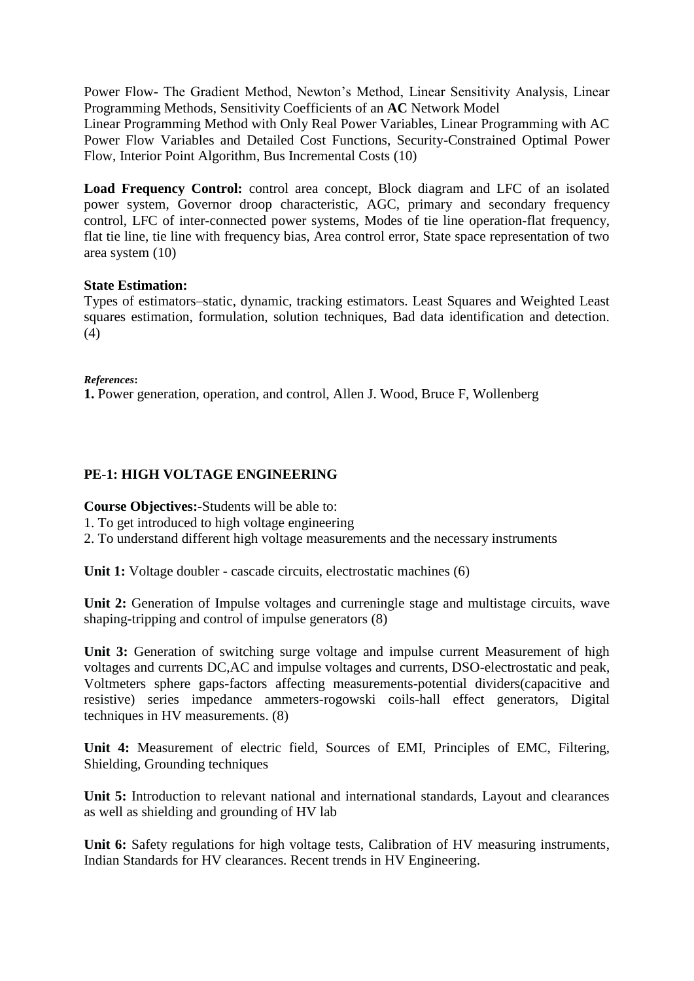Power Flow- The Gradient Method, Newton's Method, Linear Sensitivity Analysis, Linear Programming Methods, Sensitivity Coefficients of an **AC** Network Model

Linear Programming Method with Only Real Power Variables, Linear Programming with AC Power Flow Variables and Detailed Cost Functions, Security-Constrained Optimal Power Flow, Interior Point Algorithm, Bus Incremental Costs (10)

**Load Frequency Control:** control area concept, Block diagram and LFC of an isolated power system, Governor droop characteristic, AGC, primary and secondary frequency control, LFC of inter-connected power systems, Modes of tie line operation-flat frequency, flat tie line, tie line with frequency bias, Area control error, State space representation of two area system (10)

#### **State Estimation:**

Types of estimators–static, dynamic, tracking estimators. Least Squares and Weighted Least squares estimation, formulation, solution techniques, Bad data identification and detection. (4)

#### *References***:**

**1.** Power generation, operation, and control, Allen J. Wood, Bruce F, Wollenberg

## **PE-1: HIGH VOLTAGE ENGINEERING**

**Course Objectives:-**Students will be able to:

- 1. To get introduced to high voltage engineering
- 2. To understand different high voltage measurements and the necessary instruments

**Unit 1:** Voltage doubler - cascade circuits, electrostatic machines (6)

Unit 2: Generation of Impulse voltages and curreningle stage and multistage circuits, wave shaping-tripping and control of impulse generators (8)

**Unit 3:** Generation of switching surge voltage and impulse current Measurement of high voltages and currents DC,AC and impulse voltages and currents, DSO-electrostatic and peak, Voltmeters sphere gaps-factors affecting measurements-potential dividers(capacitive and resistive) series impedance ammeters-rogowski coils-hall effect generators, Digital techniques in HV measurements. (8)

**Unit 4:** Measurement of electric field, Sources of EMI, Principles of EMC, Filtering, Shielding, Grounding techniques

**Unit 5:** Introduction to relevant national and international standards, Layout and clearances as well as shielding and grounding of HV lab

**Unit 6:** Safety regulations for high voltage tests, Calibration of HV measuring instruments, Indian Standards for HV clearances. Recent trends in HV Engineering.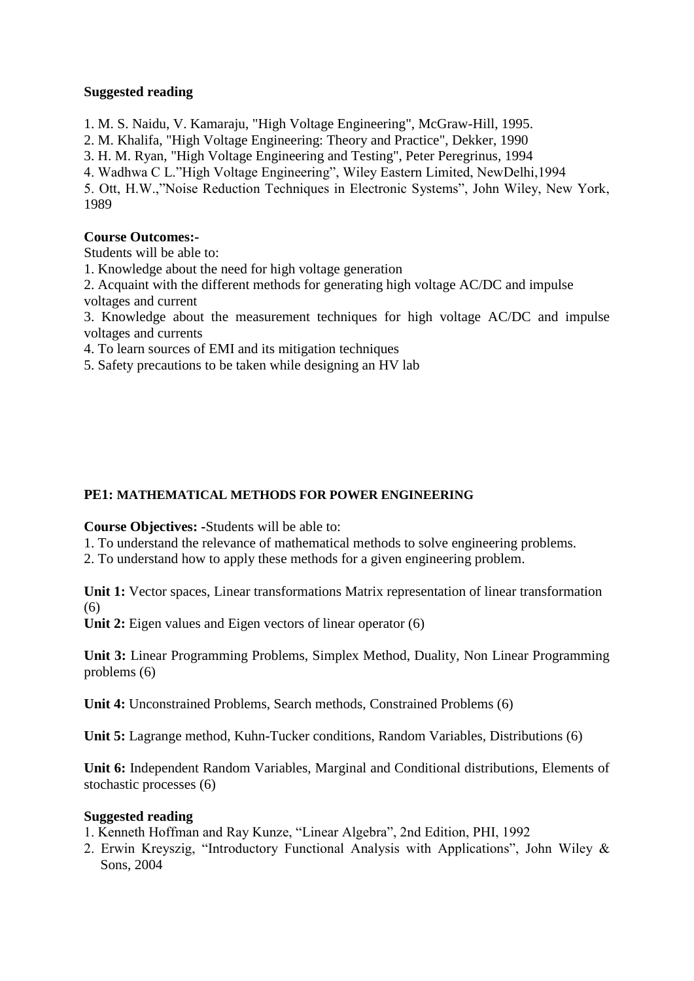#### **Suggested reading**

1. M. S. Naidu, V. Kamaraju, "High Voltage Engineering", McGraw-Hill, 1995.

2. M. Khalifa, "High Voltage Engineering: Theory and Practice", Dekker, 1990

3. H. M. Ryan, "High Voltage Engineering and Testing", Peter Peregrinus, 1994

4. Wadhwa C L."High Voltage Engineering", Wiley Eastern Limited, NewDelhi,1994

5. Ott, H.W.,"Noise Reduction Techniques in Electronic Systems", John Wiley, New York, 1989

#### **Course Outcomes:-**

Students will be able to:

1. Knowledge about the need for high voltage generation

2. Acquaint with the different methods for generating high voltage AC/DC and impulse voltages and current

3. Knowledge about the measurement techniques for high voltage AC/DC and impulse voltages and currents

4. To learn sources of EMI and its mitigation techniques

5. Safety precautions to be taken while designing an HV lab

## **PE1: MATHEMATICAL METHODS FOR POWER ENGINEERING**

**Course Objectives: -**Students will be able to:

1. To understand the relevance of mathematical methods to solve engineering problems.

2. To understand how to apply these methods for a given engineering problem.

**Unit 1:** Vector spaces, Linear transformations Matrix representation of linear transformation (6)

**Unit 2:** Eigen values and Eigen vectors of linear operator (6)

**Unit 3:** Linear Programming Problems, Simplex Method, Duality, Non Linear Programming problems (6)

**Unit 4:** Unconstrained Problems, Search methods, Constrained Problems (6)

**Unit 5:** Lagrange method, Kuhn-Tucker conditions, Random Variables, Distributions (6)

**Unit 6:** Independent Random Variables, Marginal and Conditional distributions, Elements of stochastic processes (6)

#### **Suggested reading**

- 1. Kenneth Hoffman and Ray Kunze, "Linear Algebra", 2nd Edition, PHI, 1992
- 2. Erwin Kreyszig, "Introductory Functional Analysis with Applications", John Wiley & Sons, 2004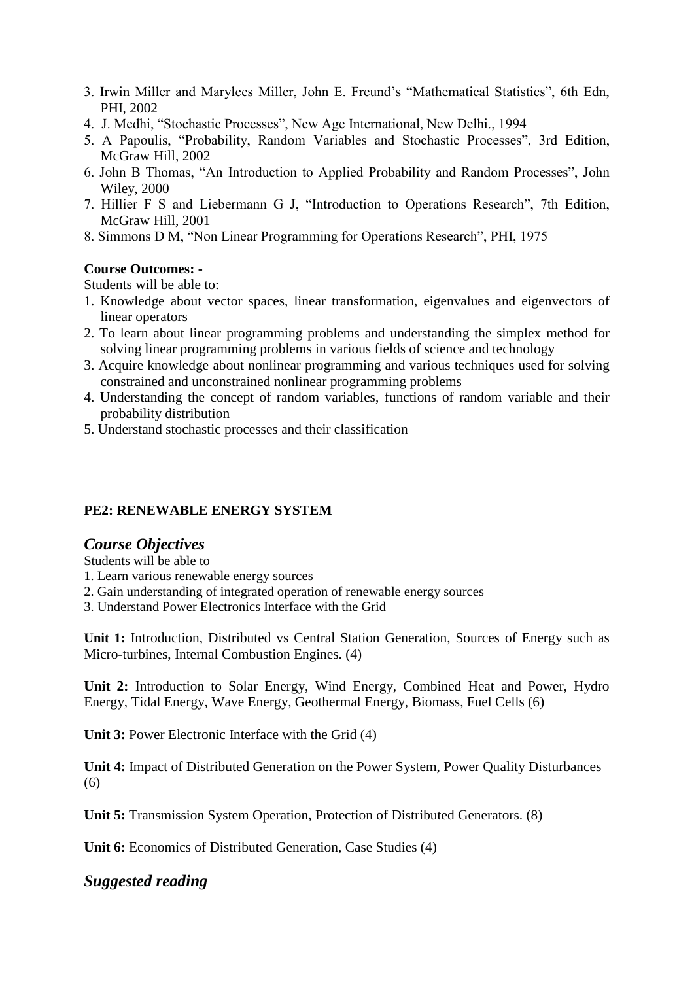- 3. Irwin Miller and Marylees Miller, John E. Freund's "Mathematical Statistics", 6th Edn, PHI, 2002
- 4. J. Medhi, "Stochastic Processes", New Age International, New Delhi., 1994
- 5. A Papoulis, "Probability, Random Variables and Stochastic Processes", 3rd Edition, McGraw Hill, 2002
- 6. John B Thomas, "An Introduction to Applied Probability and Random Processes", John Wiley, 2000
- 7. Hillier F S and Liebermann G J, "Introduction to Operations Research", 7th Edition, McGraw Hill, 2001
- 8. Simmons D M, "Non Linear Programming for Operations Research", PHI, 1975

## **Course Outcomes: -**

Students will be able to:

- 1. Knowledge about vector spaces, linear transformation, eigenvalues and eigenvectors of linear operators
- 2. To learn about linear programming problems and understanding the simplex method for solving linear programming problems in various fields of science and technology
- 3. Acquire knowledge about nonlinear programming and various techniques used for solving constrained and unconstrained nonlinear programming problems
- 4. Understanding the concept of random variables, functions of random variable and their probability distribution
- 5. Understand stochastic processes and their classification

## **PE2: RENEWABLE ENERGY SYSTEM**

## *Course Objectives*

Students will be able to

- 1. Learn various renewable energy sources
- 2. Gain understanding of integrated operation of renewable energy sources
- 3. Understand Power Electronics Interface with the Grid

**Unit 1:** Introduction, Distributed vs Central Station Generation, Sources of Energy such as Micro-turbines, Internal Combustion Engines. (4)

**Unit 2:** Introduction to Solar Energy, Wind Energy, Combined Heat and Power, Hydro Energy, Tidal Energy, Wave Energy, Geothermal Energy, Biomass, Fuel Cells (6)

**Unit 3:** Power Electronic Interface with the Grid (4)

**Unit 4:** Impact of Distributed Generation on the Power System, Power Quality Disturbances (6)

**Unit 5:** Transmission System Operation, Protection of Distributed Generators. (8)

**Unit 6:** Economics of Distributed Generation, Case Studies (4)

## *Suggested reading*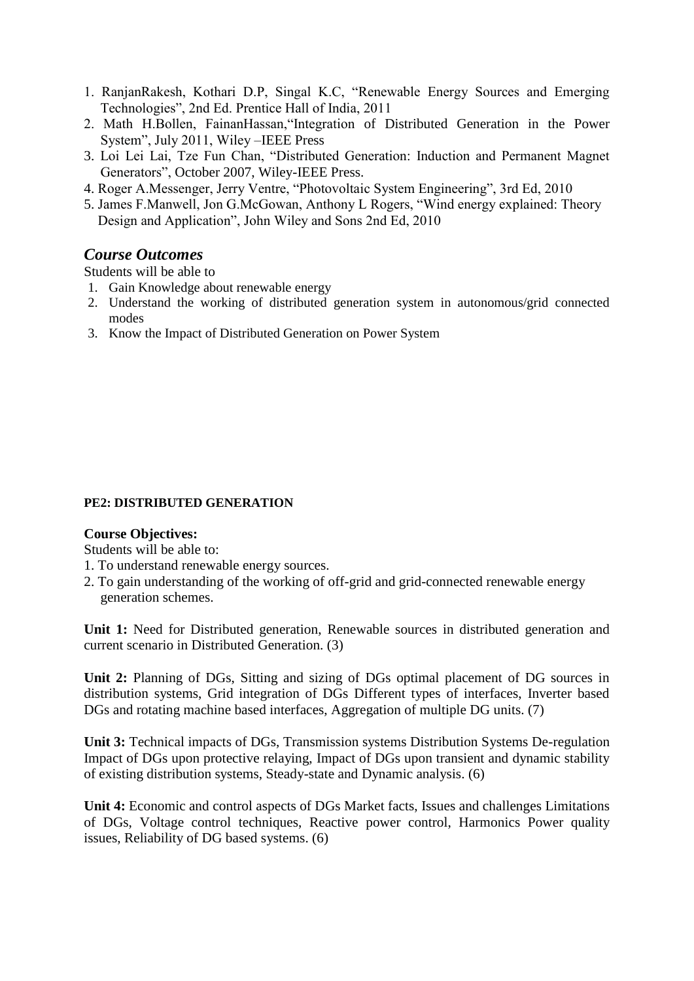- 1. RanjanRakesh, Kothari D.P, Singal K.C, "Renewable Energy Sources and Emerging Technologies", 2nd Ed. Prentice Hall of India, 2011
- 2. Math H.Bollen, FainanHassan,"Integration of Distributed Generation in the Power System", July 2011, Wiley –IEEE Press
- 3. Loi Lei Lai, Tze Fun Chan, "Distributed Generation: Induction and Permanent Magnet Generators", October 2007, Wiley-IEEE Press.
- 4. Roger A.Messenger, Jerry Ventre, "Photovoltaic System Engineering", 3rd Ed, 2010
- 5. James F.Manwell, Jon G.McGowan, Anthony L Rogers, "Wind energy explained: Theory Design and Application", John Wiley and Sons 2nd Ed, 2010

## *Course Outcomes*

Students will be able to

- 1. Gain Knowledge about renewable energy
- 2. Understand the working of distributed generation system in autonomous/grid connected modes
- 3. Know the Impact of Distributed Generation on Power System

#### **PE2: DISTRIBUTED GENERATION**

#### **Course Objectives:**

Students will be able to:

- 1. To understand renewable energy sources.
- 2. To gain understanding of the working of off-grid and grid-connected renewable energy generation schemes.

**Unit 1:** Need for Distributed generation, Renewable sources in distributed generation and current scenario in Distributed Generation. (3)

**Unit 2:** Planning of DGs, Sitting and sizing of DGs optimal placement of DG sources in distribution systems, Grid integration of DGs Different types of interfaces, Inverter based DGs and rotating machine based interfaces, Aggregation of multiple DG units. (7)

**Unit 3:** Technical impacts of DGs, Transmission systems Distribution Systems De-regulation Impact of DGs upon protective relaying, Impact of DGs upon transient and dynamic stability of existing distribution systems, Steady-state and Dynamic analysis. (6)

**Unit 4:** Economic and control aspects of DGs Market facts, Issues and challenges Limitations of DGs, Voltage control techniques, Reactive power control, Harmonics Power quality issues, Reliability of DG based systems. (6)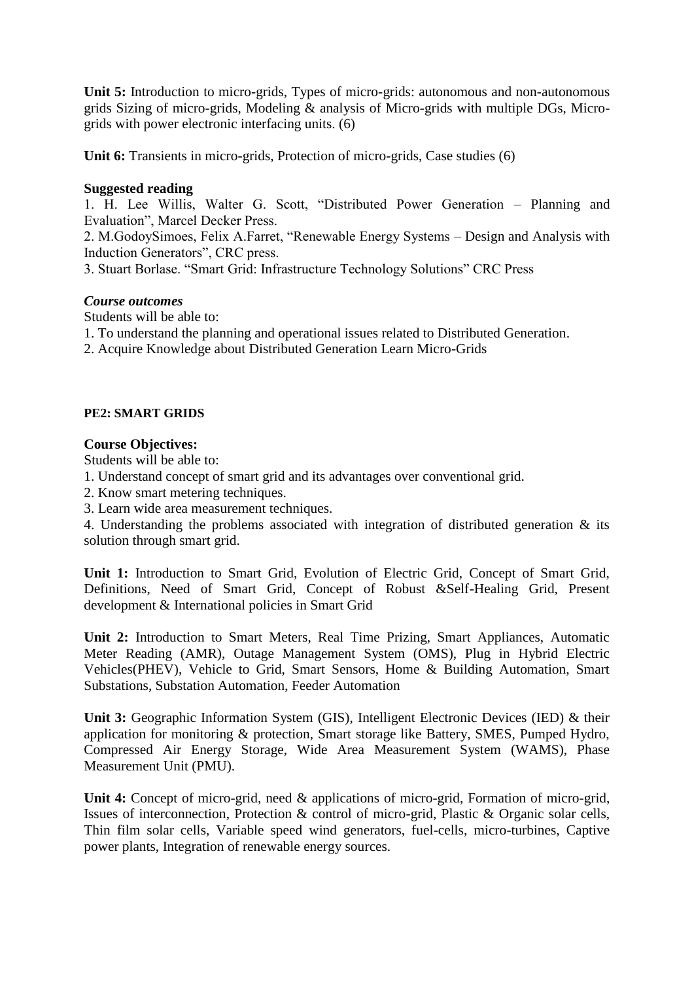**Unit 5:** Introduction to micro-grids, Types of micro-grids: autonomous and non-autonomous grids Sizing of micro-grids, Modeling & analysis of Micro-grids with multiple DGs, Microgrids with power electronic interfacing units. (6)

**Unit 6:** Transients in micro-grids, Protection of micro-grids, Case studies (6)

#### **Suggested reading**

1. H. Lee Willis, Walter G. Scott, "Distributed Power Generation – Planning and Evaluation", Marcel Decker Press.

2. M.GodoySimoes, Felix A.Farret, "Renewable Energy Systems – Design and Analysis with Induction Generators", CRC press.

3. Stuart Borlase. "Smart Grid: Infrastructure Technology Solutions" CRC Press

#### *Course outcomes*

Students will be able to:

- 1. To understand the planning and operational issues related to Distributed Generation.
- 2. Acquire Knowledge about Distributed Generation Learn Micro-Grids

#### **PE2: SMART GRIDS**

#### **Course Objectives:**

Students will be able to:

- 1. Understand concept of smart grid and its advantages over conventional grid.
- 2. Know smart metering techniques.
- 3. Learn wide area measurement techniques.

4. Understanding the problems associated with integration of distributed generation & its solution through smart grid.

**Unit 1:** Introduction to Smart Grid, Evolution of Electric Grid, Concept of Smart Grid, Definitions, Need of Smart Grid, Concept of Robust &Self-Healing Grid, Present development & International policies in Smart Grid

**Unit 2:** Introduction to Smart Meters, Real Time Prizing, Smart Appliances, Automatic Meter Reading (AMR), Outage Management System (OMS), Plug in Hybrid Electric Vehicles(PHEV), Vehicle to Grid, Smart Sensors, Home & Building Automation, Smart Substations, Substation Automation, Feeder Automation

**Unit 3:** Geographic Information System (GIS), Intelligent Electronic Devices (IED) & their application for monitoring & protection, Smart storage like Battery, SMES, Pumped Hydro, Compressed Air Energy Storage, Wide Area Measurement System (WAMS), Phase Measurement Unit (PMU).

**Unit 4:** Concept of micro-grid, need & applications of micro-grid, Formation of micro-grid, Issues of interconnection, Protection & control of micro-grid, Plastic & Organic solar cells, Thin film solar cells, Variable speed wind generators, fuel-cells, micro-turbines, Captive power plants, Integration of renewable energy sources.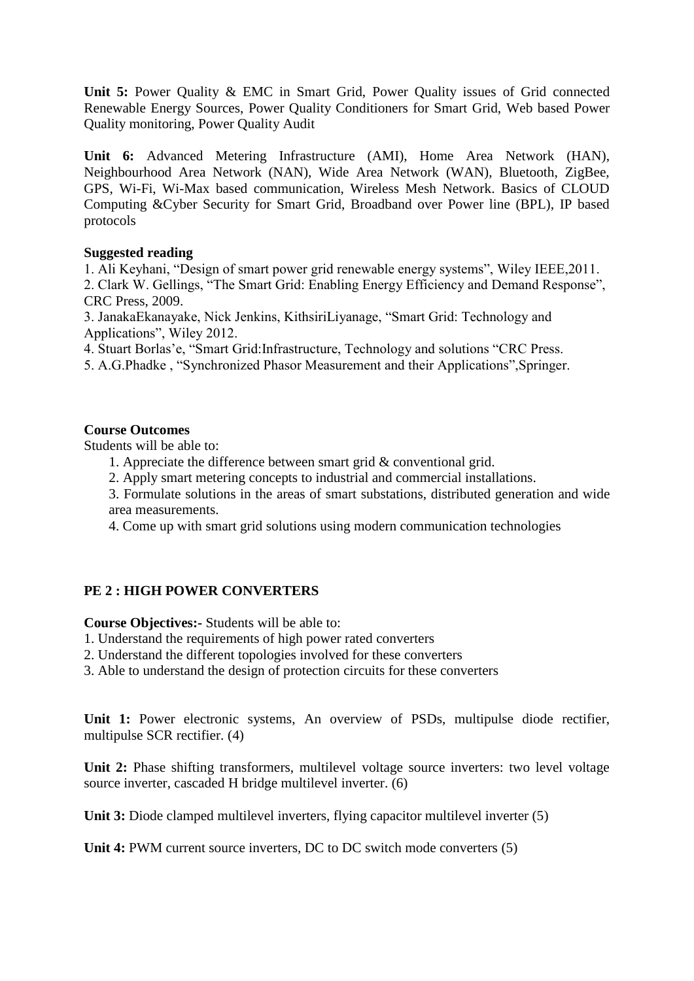**Unit 5:** Power Quality & EMC in Smart Grid, Power Quality issues of Grid connected Renewable Energy Sources, Power Quality Conditioners for Smart Grid, Web based Power Quality monitoring, Power Quality Audit

**Unit 6:** Advanced Metering Infrastructure (AMI), Home Area Network (HAN), Neighbourhood Area Network (NAN), Wide Area Network (WAN), Bluetooth, ZigBee, GPS, Wi-Fi, Wi-Max based communication, Wireless Mesh Network. Basics of CLOUD Computing &Cyber Security for Smart Grid, Broadband over Power line (BPL), IP based protocols

#### **Suggested reading**

1. Ali Keyhani, "Design of smart power grid renewable energy systems", Wiley IEEE,2011. 2. Clark W. Gellings, "The Smart Grid: Enabling Energy Efficiency and Demand Response", CRC Press, 2009.

3. JanakaEkanayake, Nick Jenkins, KithsiriLiyanage, "Smart Grid: Technology and Applications", Wiley 2012.

4. Stuart Borlas'e, "Smart Grid:Infrastructure, Technology and solutions "CRC Press.

5. A.G.Phadke , "Synchronized Phasor Measurement and their Applications",Springer.

#### **Course Outcomes**

Students will be able to:

- 1. Appreciate the difference between smart grid & conventional grid.
- 2. Apply smart metering concepts to industrial and commercial installations.

3. Formulate solutions in the areas of smart substations, distributed generation and wide area measurements.

4. Come up with smart grid solutions using modern communication technologies

## **PE 2 : HIGH POWER CONVERTERS**

**Course Objectives:-** Students will be able to:

- 1. Understand the requirements of high power rated converters
- 2. Understand the different topologies involved for these converters
- 3. Able to understand the design of protection circuits for these converters

**Unit 1:** Power electronic systems, An overview of PSDs, multipulse diode rectifier, multipulse SCR rectifier. (4)

**Unit 2:** Phase shifting transformers, multilevel voltage source inverters: two level voltage source inverter, cascaded H bridge multilevel inverter. (6)

**Unit 3:** Diode clamped multilevel inverters, flying capacitor multilevel inverter (5)

**Unit 4:** PWM current source inverters, DC to DC switch mode converters (5)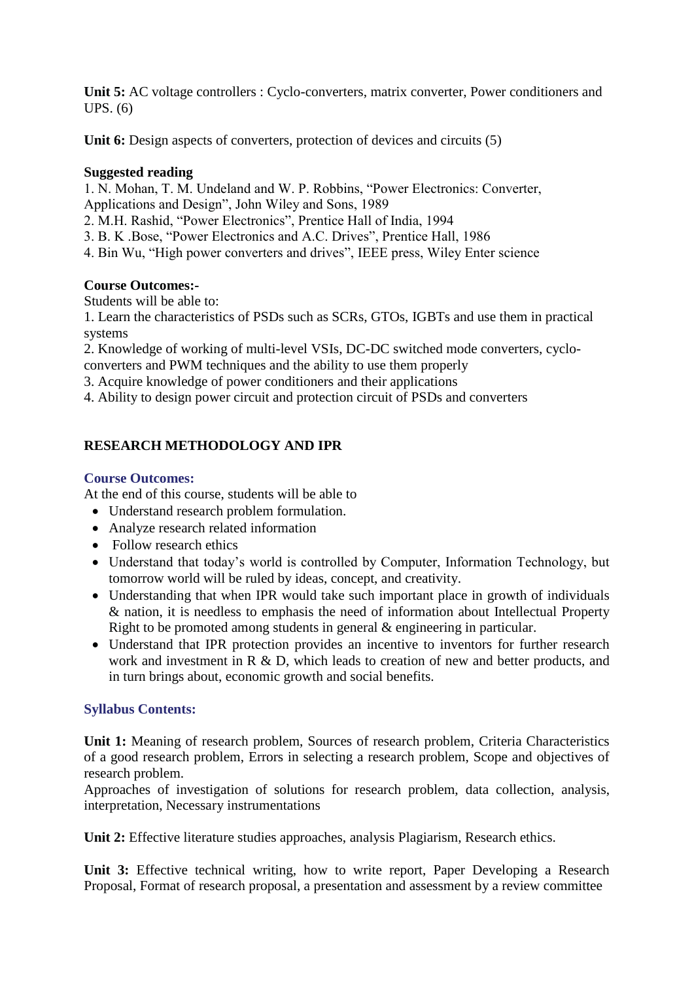**Unit 5:** AC voltage controllers : Cyclo-converters, matrix converter, Power conditioners and UPS. (6)

**Unit 6:** Design aspects of converters, protection of devices and circuits (5)

## **Suggested reading**

1. N. Mohan, T. M. Undeland and W. P. Robbins, "Power Electronics: Converter, Applications and Design", John Wiley and Sons, 1989

2. M.H. Rashid, "Power Electronics", Prentice Hall of India, 1994

3. B. K .Bose, "Power Electronics and A.C. Drives", Prentice Hall, 1986

4. Bin Wu, "High power converters and drives", IEEE press, Wiley Enter science

## **Course Outcomes:-**

Students will be able to:

1. Learn the characteristics of PSDs such as SCRs, GTOs, IGBTs and use them in practical systems

2. Knowledge of working of multi-level VSIs, DC-DC switched mode converters, cyclo-

- converters and PWM techniques and the ability to use them properly
- 3. Acquire knowledge of power conditioners and their applications

4. Ability to design power circuit and protection circuit of PSDs and converters

## **RESEARCH METHODOLOGY AND IPR**

## **Course Outcomes:**

At the end of this course, students will be able to

- Understand research problem formulation.
- Analyze research related information
- Follow research ethics
- Understand that today's world is controlled by Computer, Information Technology, but tomorrow world will be ruled by ideas, concept, and creativity.
- Understanding that when IPR would take such important place in growth of individuals & nation, it is needless to emphasis the need of information about Intellectual Property Right to be promoted among students in general & engineering in particular.
- Understand that IPR protection provides an incentive to inventors for further research work and investment in R & D, which leads to creation of new and better products, and in turn brings about, economic growth and social benefits.

## **Syllabus Contents:**

**Unit 1:** Meaning of research problem, Sources of research problem, Criteria Characteristics of a good research problem, Errors in selecting a research problem, Scope and objectives of research problem.

Approaches of investigation of solutions for research problem, data collection, analysis, interpretation, Necessary instrumentations

**Unit 2:** Effective literature studies approaches, analysis Plagiarism, Research ethics.

Unit 3: Effective technical writing, how to write report, Paper Developing a Research Proposal, Format of research proposal, a presentation and assessment by a review committee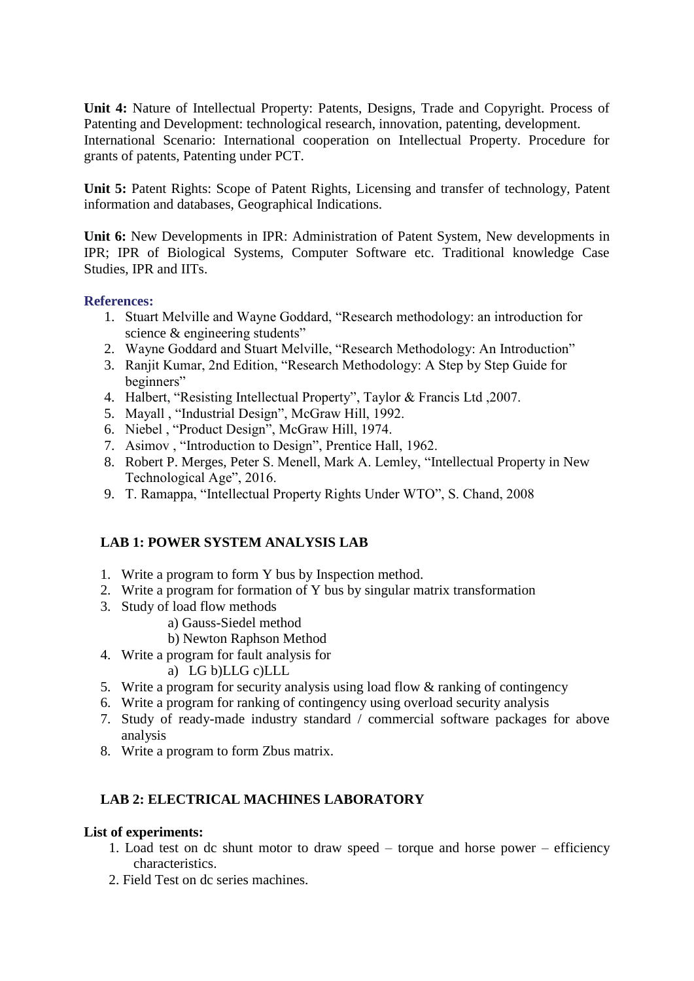**Unit 4:** Nature of Intellectual Property: Patents, Designs, Trade and Copyright. Process of Patenting and Development: technological research, innovation, patenting, development. International Scenario: International cooperation on Intellectual Property. Procedure for grants of patents, Patenting under PCT.

**Unit 5:** Patent Rights: Scope of Patent Rights, Licensing and transfer of technology, Patent information and databases, Geographical Indications.

**Unit 6:** New Developments in IPR: Administration of Patent System, New developments in IPR; IPR of Biological Systems, Computer Software etc. Traditional knowledge Case Studies, IPR and IITs.

#### **References:**

- 1. Stuart Melville and Wayne Goddard, "Research methodology: an introduction for science & engineering students"
- 2. Wayne Goddard and Stuart Melville, "Research Methodology: An Introduction"
- 3. Ranjit Kumar, 2nd Edition, "Research Methodology: A Step by Step Guide for beginners"
- 4. Halbert, "Resisting Intellectual Property", Taylor & Francis Ltd ,2007.
- 5. Mayall , "Industrial Design", McGraw Hill, 1992.
- 6. Niebel , "Product Design", McGraw Hill, 1974.
- 7. Asimov , "Introduction to Design", Prentice Hall, 1962.
- 8. Robert P. Merges, Peter S. Menell, Mark A. Lemley, "Intellectual Property in New Technological Age", 2016.
- 9. T. Ramappa, "Intellectual Property Rights Under WTO", S. Chand, 2008

## **LAB 1: POWER SYSTEM ANALYSIS LAB**

- 1. Write a program to form Y bus by Inspection method.
- 2. Write a program for formation of Y bus by singular matrix transformation
- 3. Study of load flow methods
	- a) Gauss-Siedel method
	- b) Newton Raphson Method
- 4. Write a program for fault analysis for
	- a) LG b)LLG c)LLL
- 5. Write a program for security analysis using load flow & ranking of contingency
- 6. Write a program for ranking of contingency using overload security analysis
- 7. Study of ready-made industry standard / commercial software packages for above analysis
- 8. Write a program to form Zbus matrix.

## **LAB 2: ELECTRICAL MACHINES LABORATORY**

#### **List of experiments:**

- 1. Load test on dc shunt motor to draw speed torque and horse power efficiency characteristics.
- 2. Field Test on dc series machines.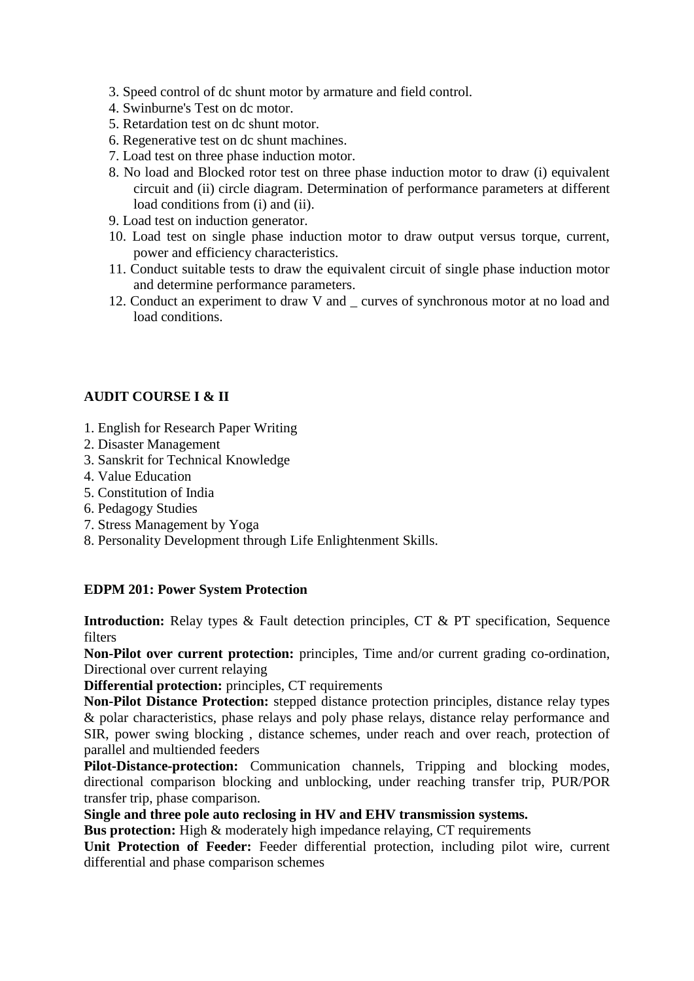- 3. Speed control of dc shunt motor by armature and field control.
- 4. Swinburne's Test on dc motor.
- 5. Retardation test on dc shunt motor.
- 6. Regenerative test on dc shunt machines.
- 7. Load test on three phase induction motor.
- 8. No load and Blocked rotor test on three phase induction motor to draw (i) equivalent circuit and (ii) circle diagram. Determination of performance parameters at different load conditions from (i) and (ii).
- 9. Load test on induction generator.
- 10. Load test on single phase induction motor to draw output versus torque, current, power and efficiency characteristics.
- 11. Conduct suitable tests to draw the equivalent circuit of single phase induction motor and determine performance parameters.
- 12. Conduct an experiment to draw V and \_ curves of synchronous motor at no load and load conditions.

## **AUDIT COURSE I & II**

- 1. English for Research Paper Writing
- 2. Disaster Management
- 3. Sanskrit for Technical Knowledge
- 4. Value Education
- 5. Constitution of India
- 6. Pedagogy Studies
- 7. Stress Management by Yoga
- 8. Personality Development through Life Enlightenment Skills.

#### **EDPM 201: Power System Protection**

**Introduction:** Relay types & Fault detection principles, CT & PT specification, Sequence filters

**Non-Pilot over current protection:** principles, Time and/or current grading co-ordination, Directional over current relaying

**Differential protection:** principles, CT requirements

**Non-Pilot Distance Protection:** stepped distance protection principles, distance relay types & polar characteristics, phase relays and poly phase relays, distance relay performance and SIR, power swing blocking , distance schemes, under reach and over reach, protection of parallel and multiended feeders

**Pilot-Distance-protection:** Communication channels, Tripping and blocking modes, directional comparison blocking and unblocking, under reaching transfer trip, PUR/POR transfer trip, phase comparison.

**Single and three pole auto reclosing in HV and EHV transmission systems.**

**Bus protection:** High & moderately high impedance relaying, CT requirements

**Unit Protection of Feeder:** Feeder differential protection, including pilot wire, current differential and phase comparison schemes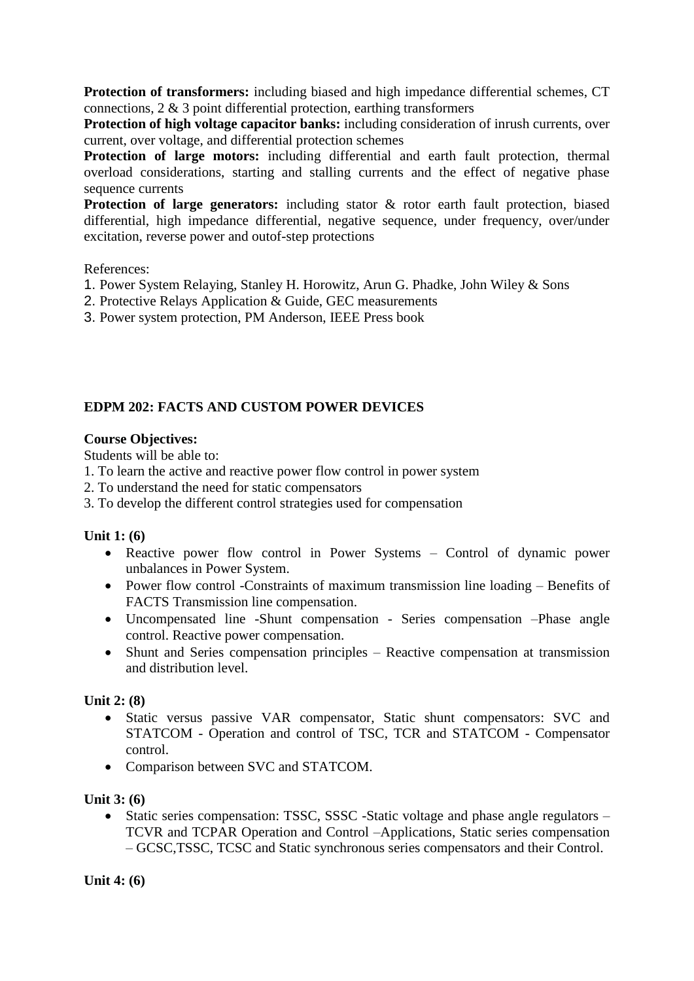**Protection of transformers:** including biased and high impedance differential schemes, CT connections, 2 & 3 point differential protection, earthing transformers

**Protection of high voltage capacitor banks:** including consideration of inrush currents, over current, over voltage, and differential protection schemes

**Protection of large motors:** including differential and earth fault protection, thermal overload considerations, starting and stalling currents and the effect of negative phase sequence currents

**Protection of large generators:** including stator & rotor earth fault protection, biased differential, high impedance differential, negative sequence, under frequency, over/under excitation, reverse power and outof-step protections

References:

- 1. Power System Relaying, Stanley H. Horowitz, Arun G. Phadke, John Wiley & Sons
- 2. Protective Relays Application & Guide, GEC measurements
- 3. Power system protection, PM Anderson, IEEE Press book

## **EDPM 202: FACTS AND CUSTOM POWER DEVICES**

#### **Course Objectives:**

Students will be able to:

- 1. To learn the active and reactive power flow control in power system
- 2. To understand the need for static compensators
- 3. To develop the different control strategies used for compensation

#### **Unit 1: (6)**

- Reactive power flow control in Power Systems Control of dynamic power unbalances in Power System.
- Power flow control -Constraints of maximum transmission line loading Benefits of FACTS Transmission line compensation.
- Uncompensated line -Shunt compensation Series compensation –Phase angle control. Reactive power compensation.
- Shunt and Series compensation principles Reactive compensation at transmission and distribution level.

## **Unit 2: (8)**

- Static versus passive VAR compensator, Static shunt compensators: SVC and STATCOM - Operation and control of TSC, TCR and STATCOM - Compensator control.
- Comparison between SVC and STATCOM.

## **Unit 3: (6)**

• Static series compensation: TSSC, SSSC -Static voltage and phase angle regulators – TCVR and TCPAR Operation and Control –Applications, Static series compensation – GCSC,TSSC, TCSC and Static synchronous series compensators and their Control.

**Unit 4: (6)**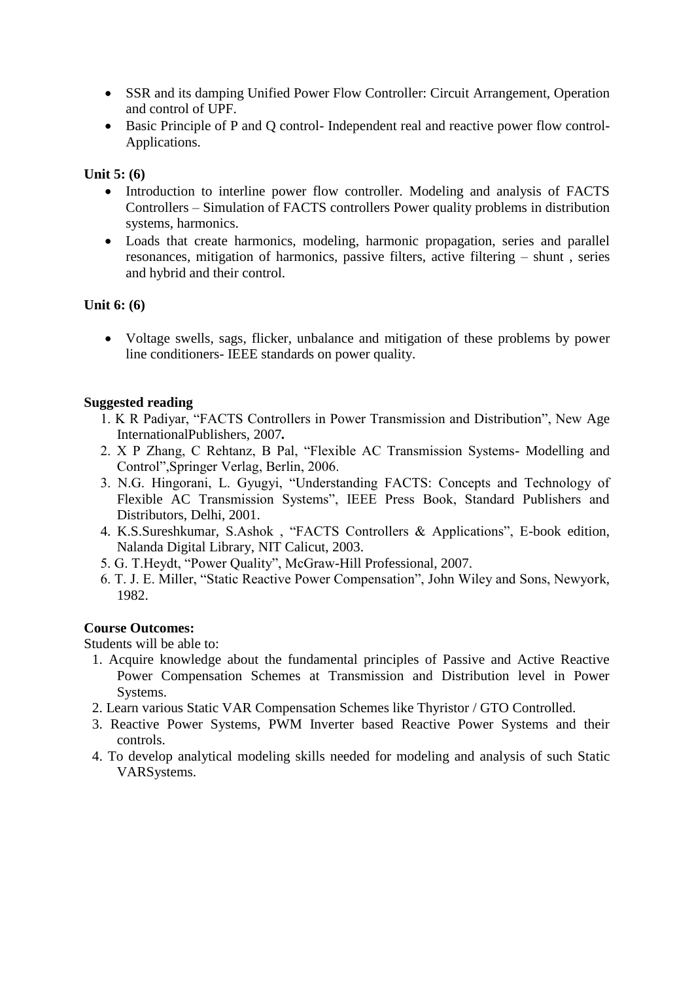- SSR and its damping Unified Power Flow Controller: Circuit Arrangement, Operation and control of UPF.
- Basic Principle of P and Q control- Independent real and reactive power flow control-Applications.

#### **Unit 5: (6)**

- Introduction to interline power flow controller. Modeling and analysis of FACTS Controllers – Simulation of FACTS controllers Power quality problems in distribution systems, harmonics.
- Loads that create harmonics, modeling, harmonic propagation, series and parallel resonances, mitigation of harmonics, passive filters, active filtering – shunt , series and hybrid and their control.

## **Unit 6: (6)**

 Voltage swells, sags, flicker, unbalance and mitigation of these problems by power line conditioners- IEEE standards on power quality.

#### **Suggested reading**

- 1. K R Padiyar, "FACTS Controllers in Power Transmission and Distribution", New Age InternationalPublishers, 2007*.*
- 2. X P Zhang, C Rehtanz, B Pal, "Flexible AC Transmission Systems- Modelling and Control",Springer Verlag, Berlin, 2006.
- 3. N.G. Hingorani, L. Gyugyi, "Understanding FACTS: Concepts and Technology of Flexible AC Transmission Systems", IEEE Press Book, Standard Publishers and Distributors, Delhi, 2001.
- 4. K.S.Sureshkumar, S.Ashok , "FACTS Controllers & Applications", E-book edition, Nalanda Digital Library, NIT Calicut, 2003.
- 5. G. T.Heydt, "Power Quality", McGraw-Hill Professional, 2007.
- 6. T. J. E. Miller, "Static Reactive Power Compensation", John Wiley and Sons, Newyork, 1982.

## **Course Outcomes:**

Students will be able to:

- 1. Acquire knowledge about the fundamental principles of Passive and Active Reactive Power Compensation Schemes at Transmission and Distribution level in Power Systems.
- 2. Learn various Static VAR Compensation Schemes like Thyristor / GTO Controlled.
- 3. Reactive Power Systems, PWM Inverter based Reactive Power Systems and their controls.
- 4. To develop analytical modeling skills needed for modeling and analysis of such Static VARSystems.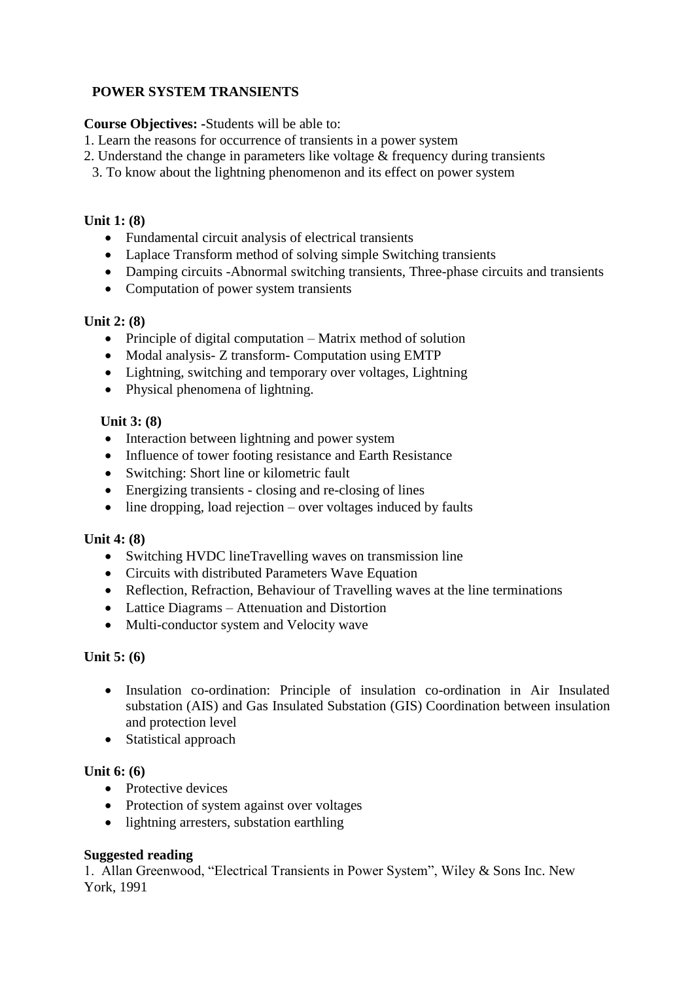## **POWER SYSTEM TRANSIENTS**

**Course Objectives: -**Students will be able to:

- 1. Learn the reasons for occurrence of transients in a power system
- 2. Understand the change in parameters like voltage & frequency during transients
	- 3. To know about the lightning phenomenon and its effect on power system

#### **Unit 1: (8)**

- Fundamental circuit analysis of electrical transients
- Laplace Transform method of solving simple Switching transients
- Damping circuits -Abnormal switching transients, Three-phase circuits and transients
- Computation of power system transients

## **Unit 2: (8)**

- Principle of digital computation Matrix method of solution
- Modal analysis- Z transform- Computation using EMTP
- Lightning, switching and temporary over voltages, Lightning
- Physical phenomena of lightning.

## **Unit 3: (8)**

- Interaction between lightning and power system
- Influence of tower footing resistance and Earth Resistance
- Switching: Short line or kilometric fault
- Energizing transients closing and re-closing of lines
- $\bullet$  line dropping, load rejection over voltages induced by faults

## **Unit 4: (8)**

- Switching HVDC lineTravelling waves on transmission line
- Circuits with distributed Parameters Wave Equation
- Reflection, Refraction, Behaviour of Travelling waves at the line terminations
- Lattice Diagrams Attenuation and Distortion
- Multi-conductor system and Velocity wave

## **Unit 5: (6)**

- Insulation co-ordination: Principle of insulation co-ordination in Air Insulated substation (AIS) and Gas Insulated Substation (GIS) Coordination between insulation and protection level
- Statistical approach

## **Unit 6: (6)**

- Protective devices
- Protection of system against over voltages
- lightning arresters, substation earthling

## **Suggested reading**

1. Allan Greenwood, "Electrical Transients in Power System", Wiley & Sons Inc. New York, 1991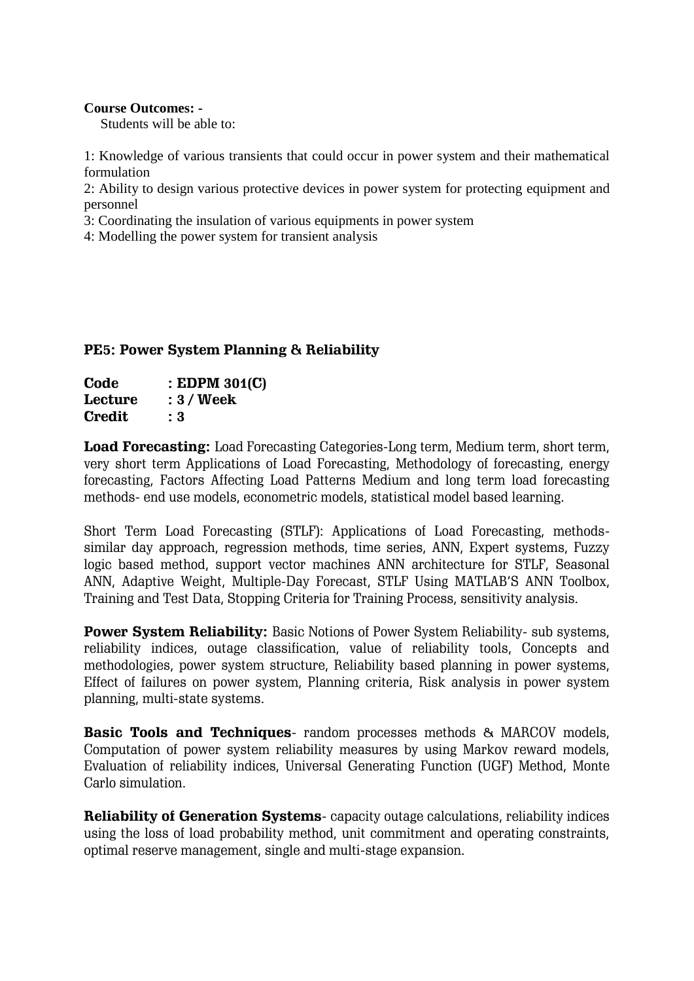#### **Course Outcomes: -**

Students will be able to:

1: Knowledge of various transients that could occur in power system and their mathematical formulation

2: Ability to design various protective devices in power system for protecting equipment and personnel

3: Coordinating the insulation of various equipments in power system

4: Modelling the power system for transient analysis

## **PE5: Power System Planning & Reliability**

| Code    | : EDPM $304(C)$ |  |  |  |
|---------|-----------------|--|--|--|
| Lecture | : 3 / Week      |  |  |  |
| Credit  | : 3             |  |  |  |

**Load Forecasting:** Load Forecasting Categories-Long term, Medium term, short term, very short term Applications of Load Forecasting, Methodology of forecasting, energy forecasting, Factors Affecting Load Patterns Medium and long term load forecasting methods- end use models, econometric models, statistical model based learning.

Short Term Load Forecasting (STLF): Applications of Load Forecasting, methodssimilar day approach, regression methods, time series, ANN, Expert systems, Fuzzy logic based method, support vector machines ANN architecture for STLF, Seasonal ANN, Adaptive Weight, Multiple-Day Forecast, STLF Using MATLAB'S ANN Toolbox, Training and Test Data, Stopping Criteria for Training Process, sensitivity analysis.

**Power System Reliability:** Basic Notions of Power System Reliability- sub systems, reliability indices, outage classification, value of reliability tools, Concepts and methodologies, power system structure, Reliability based planning in power systems, Effect of failures on power system, Planning criteria, Risk analysis in power system planning, multi-state systems.

**Basic Tools and Techniques**- random processes methods & MARCOV models, Computation of power system reliability measures by using Markov reward models, Evaluation of reliability indices, Universal Generating Function (UGF) Method, Monte Carlo simulation.

**Reliability of Generation Systems**- capacity outage calculations, reliability indices using the loss of load probability method, unit commitment and operating constraints, optimal reserve management, single and multi-stage expansion.